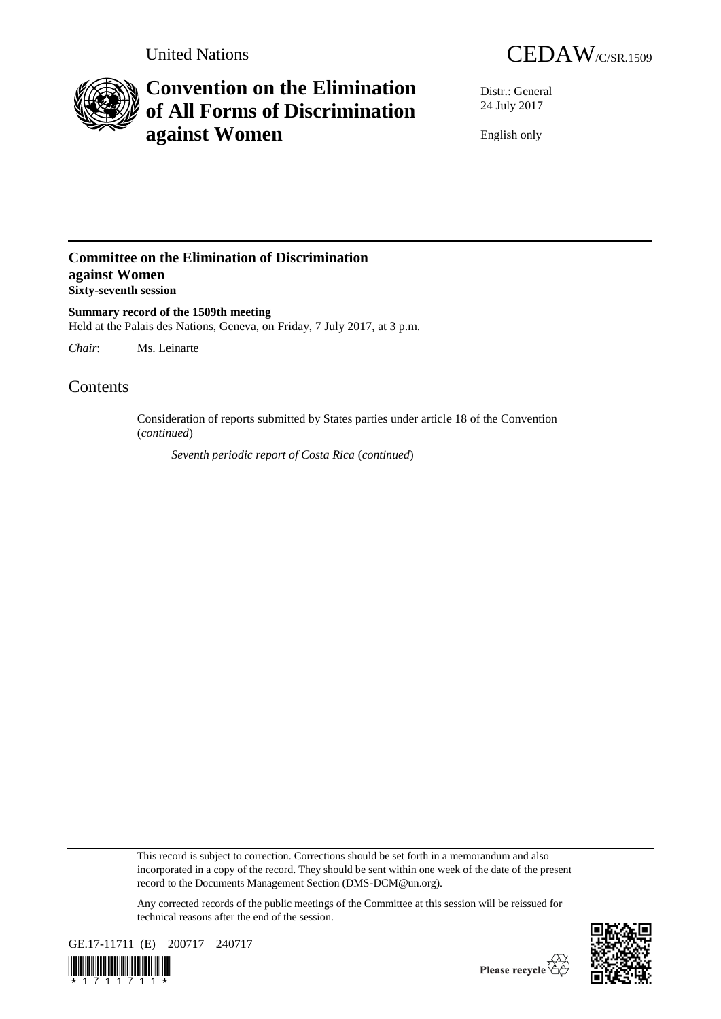



# **Convention on the Elimination of All Forms of Discrimination against Women**

Distr.: General 24 July 2017

English only

### **Committee on the Elimination of Discrimination against Women Sixty-seventh session**

**Summary record of the 1509th meeting** Held at the Palais des Nations, Geneva, on Friday, 7 July 2017, at 3 p.m.

*Chair*: Ms. Leinarte

## **Contents**

Consideration of reports submitted by States parties under article 18 of the Convention (*continued*)

*Seventh periodic report of Costa Rica* (*continued*)

This record is subject to correction. Corrections should be set forth in a memorandum and also incorporated in a copy of the record. They should be sent within one week of the date of the present record to the Documents Management Section (DMS-DCM@un.org).

Any corrected records of the public meetings of the Committee at this session will be reissued for technical reasons after the end of the session.



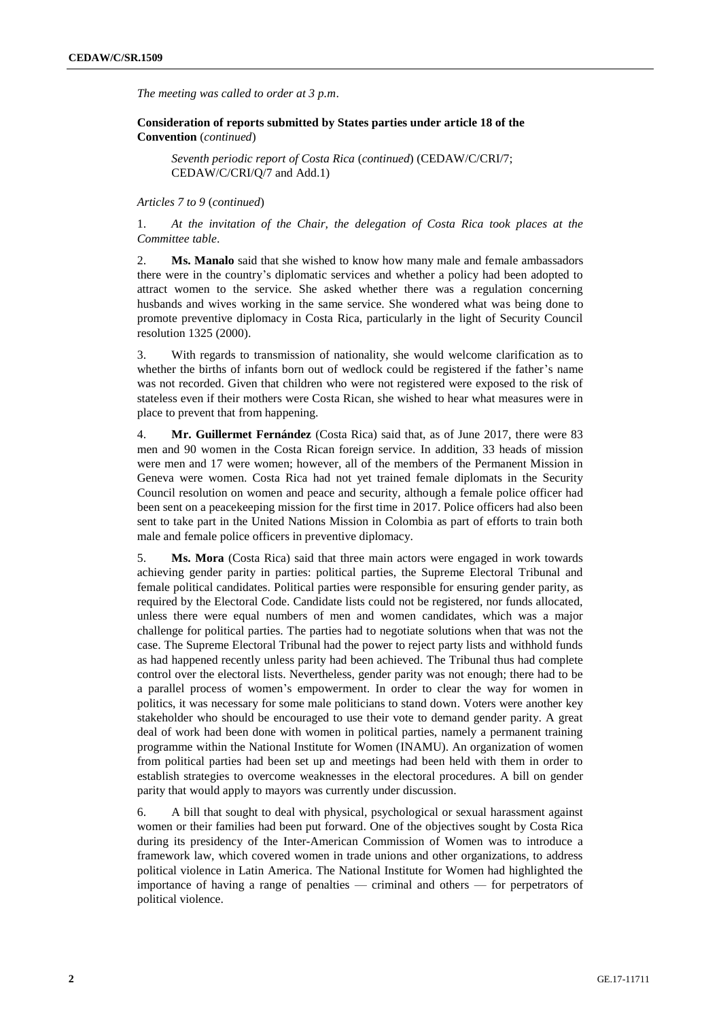*The meeting was called to order at 3 p.m*.

**Consideration of reports submitted by States parties under article 18 of the Convention** (*continued*)

*Seventh periodic report of Costa Rica* (*continued*) (CEDAW/C/CRI/7; CEDAW/C/CRI/Q/7 and Add.1)

#### *Articles 7 to 9* (*continued*)

1. *At the invitation of the Chair, the delegation of Costa Rica took places at the Committee table*.

2. **Ms. Manalo** said that she wished to know how many male and female ambassadors there were in the country's diplomatic services and whether a policy had been adopted to attract women to the service. She asked whether there was a regulation concerning husbands and wives working in the same service. She wondered what was being done to promote preventive diplomacy in Costa Rica, particularly in the light of Security Council resolution 1325 (2000).

3. With regards to transmission of nationality, she would welcome clarification as to whether the births of infants born out of wedlock could be registered if the father's name was not recorded. Given that children who were not registered were exposed to the risk of stateless even if their mothers were Costa Rican, she wished to hear what measures were in place to prevent that from happening.

4. **Mr. Guillermet Fernández** (Costa Rica) said that, as of June 2017, there were 83 men and 90 women in the Costa Rican foreign service. In addition, 33 heads of mission were men and 17 were women; however, all of the members of the Permanent Mission in Geneva were women. Costa Rica had not yet trained female diplomats in the Security Council resolution on women and peace and security, although a female police officer had been sent on a peacekeeping mission for the first time in 2017. Police officers had also been sent to take part in the United Nations Mission in Colombia as part of efforts to train both male and female police officers in preventive diplomacy.

5. **Ms. Mora** (Costa Rica) said that three main actors were engaged in work towards achieving gender parity in parties: political parties, the Supreme Electoral Tribunal and female political candidates. Political parties were responsible for ensuring gender parity, as required by the Electoral Code. Candidate lists could not be registered, nor funds allocated, unless there were equal numbers of men and women candidates, which was a major challenge for political parties. The parties had to negotiate solutions when that was not the case. The Supreme Electoral Tribunal had the power to reject party lists and withhold funds as had happened recently unless parity had been achieved. The Tribunal thus had complete control over the electoral lists. Nevertheless, gender parity was not enough; there had to be a parallel process of women's empowerment. In order to clear the way for women in politics, it was necessary for some male politicians to stand down. Voters were another key stakeholder who should be encouraged to use their vote to demand gender parity. A great deal of work had been done with women in political parties, namely a permanent training programme within the National Institute for Women (INAMU). An organization of women from political parties had been set up and meetings had been held with them in order to establish strategies to overcome weaknesses in the electoral procedures. A bill on gender parity that would apply to mayors was currently under discussion.

6. A bill that sought to deal with physical, psychological or sexual harassment against women or their families had been put forward. One of the objectives sought by Costa Rica during its presidency of the Inter-American Commission of Women was to introduce a framework law, which covered women in trade unions and other organizations, to address political violence in Latin America. The National Institute for Women had highlighted the importance of having a range of penalties — criminal and others — for perpetrators of political violence.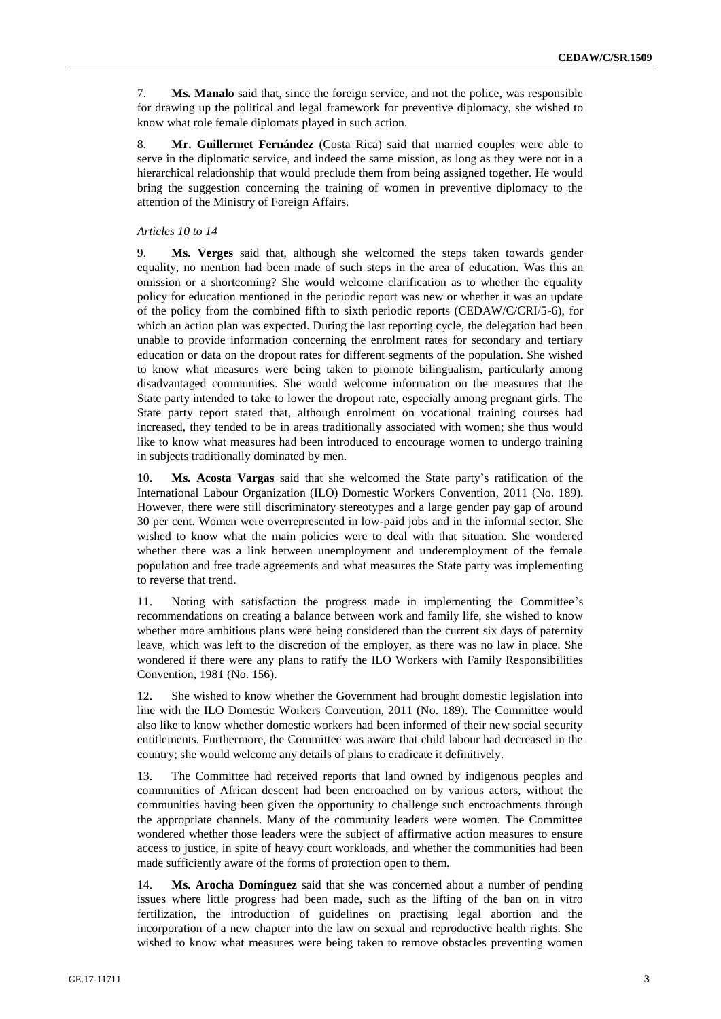7. **Ms. Manalo** said that, since the foreign service, and not the police, was responsible for drawing up the political and legal framework for preventive diplomacy, she wished to know what role female diplomats played in such action.

8. **Mr. Guillermet Fernández** (Costa Rica) said that married couples were able to serve in the diplomatic service, and indeed the same mission, as long as they were not in a hierarchical relationship that would preclude them from being assigned together. He would bring the suggestion concerning the training of women in preventive diplomacy to the attention of the Ministry of Foreign Affairs.

### *Articles 10 to 14*

9. **Ms. Verges** said that, although she welcomed the steps taken towards gender equality, no mention had been made of such steps in the area of education. Was this an omission or a shortcoming? She would welcome clarification as to whether the equality policy for education mentioned in the periodic report was new or whether it was an update of the policy from the combined fifth to sixth periodic reports (CEDAW/C/CRI/5-6), for which an action plan was expected. During the last reporting cycle, the delegation had been unable to provide information concerning the enrolment rates for secondary and tertiary education or data on the dropout rates for different segments of the population. She wished to know what measures were being taken to promote bilingualism, particularly among disadvantaged communities. She would welcome information on the measures that the State party intended to take to lower the dropout rate, especially among pregnant girls. The State party report stated that, although enrolment on vocational training courses had increased, they tended to be in areas traditionally associated with women; she thus would like to know what measures had been introduced to encourage women to undergo training in subjects traditionally dominated by men.

10. **Ms. Acosta Vargas** said that she welcomed the State party's ratification of the International Labour Organization (ILO) Domestic Workers Convention, 2011 (No. 189). However, there were still discriminatory stereotypes and a large gender pay gap of around 30 per cent. Women were overrepresented in low-paid jobs and in the informal sector. She wished to know what the main policies were to deal with that situation. She wondered whether there was a link between unemployment and underemployment of the female population and free trade agreements and what measures the State party was implementing to reverse that trend.

11. Noting with satisfaction the progress made in implementing the Committee's recommendations on creating a balance between work and family life, she wished to know whether more ambitious plans were being considered than the current six days of paternity leave, which was left to the discretion of the employer, as there was no law in place. She wondered if there were any plans to ratify the ILO Workers with Family Responsibilities Convention, 1981 (No. 156).

12. She wished to know whether the Government had brought domestic legislation into line with the ILO Domestic Workers Convention, 2011 (No. 189). The Committee would also like to know whether domestic workers had been informed of their new social security entitlements. Furthermore, the Committee was aware that child labour had decreased in the country; she would welcome any details of plans to eradicate it definitively.

13. The Committee had received reports that land owned by indigenous peoples and communities of African descent had been encroached on by various actors, without the communities having been given the opportunity to challenge such encroachments through the appropriate channels. Many of the community leaders were women. The Committee wondered whether those leaders were the subject of affirmative action measures to ensure access to justice, in spite of heavy court workloads, and whether the communities had been made sufficiently aware of the forms of protection open to them.

14. **Ms. Arocha Domínguez** said that she was concerned about a number of pending issues where little progress had been made, such as the lifting of the ban on in vitro fertilization, the introduction of guidelines on practising legal abortion and the incorporation of a new chapter into the law on sexual and reproductive health rights. She wished to know what measures were being taken to remove obstacles preventing women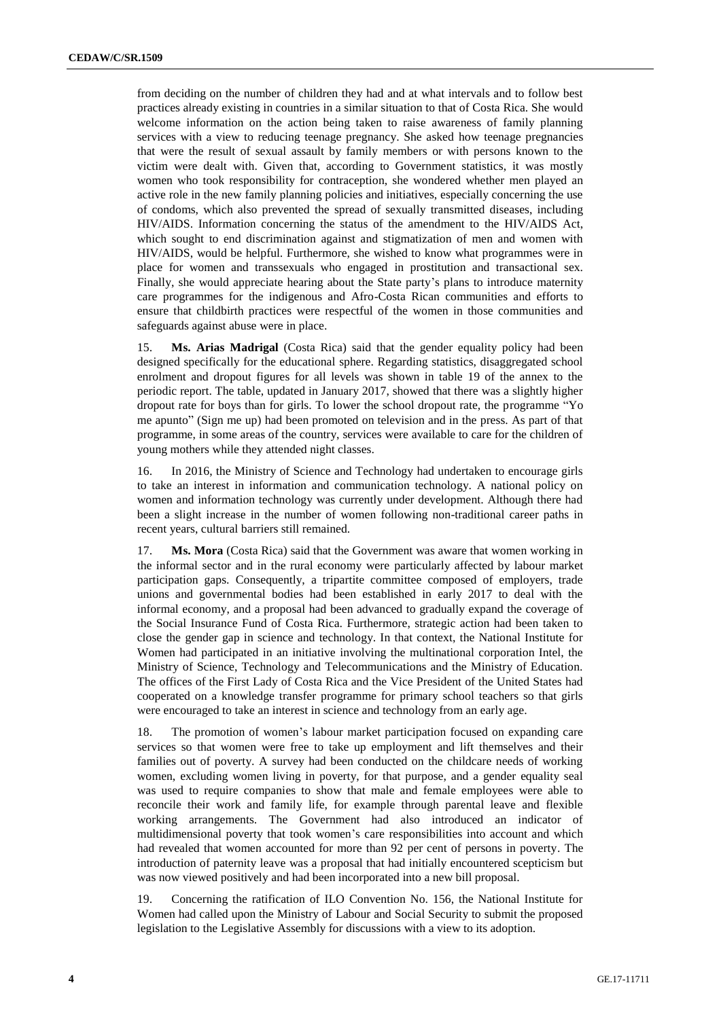from deciding on the number of children they had and at what intervals and to follow best practices already existing in countries in a similar situation to that of Costa Rica. She would welcome information on the action being taken to raise awareness of family planning services with a view to reducing teenage pregnancy. She asked how teenage pregnancies that were the result of sexual assault by family members or with persons known to the victim were dealt with. Given that, according to Government statistics, it was mostly women who took responsibility for contraception, she wondered whether men played an active role in the new family planning policies and initiatives, especially concerning the use of condoms, which also prevented the spread of sexually transmitted diseases, including HIV/AIDS. Information concerning the status of the amendment to the HIV/AIDS Act, which sought to end discrimination against and stigmatization of men and women with HIV/AIDS, would be helpful. Furthermore, she wished to know what programmes were in place for women and transsexuals who engaged in prostitution and transactional sex. Finally, she would appreciate hearing about the State party's plans to introduce maternity care programmes for the indigenous and Afro-Costa Rican communities and efforts to ensure that childbirth practices were respectful of the women in those communities and safeguards against abuse were in place.

15. **Ms. Arias Madrigal** (Costa Rica) said that the gender equality policy had been designed specifically for the educational sphere. Regarding statistics, disaggregated school enrolment and dropout figures for all levels was shown in table 19 of the annex to the periodic report. The table, updated in January 2017, showed that there was a slightly higher dropout rate for boys than for girls. To lower the school dropout rate, the programme "Yo me apunto" (Sign me up) had been promoted on television and in the press. As part of that programme, in some areas of the country, services were available to care for the children of young mothers while they attended night classes.

16. In 2016, the Ministry of Science and Technology had undertaken to encourage girls to take an interest in information and communication technology. A national policy on women and information technology was currently under development. Although there had been a slight increase in the number of women following non-traditional career paths in recent years, cultural barriers still remained.

17. **Ms. Mora** (Costa Rica) said that the Government was aware that women working in the informal sector and in the rural economy were particularly affected by labour market participation gaps. Consequently, a tripartite committee composed of employers, trade unions and governmental bodies had been established in early 2017 to deal with the informal economy, and a proposal had been advanced to gradually expand the coverage of the Social Insurance Fund of Costa Rica. Furthermore, strategic action had been taken to close the gender gap in science and technology. In that context, the National Institute for Women had participated in an initiative involving the multinational corporation Intel, the Ministry of Science, Technology and Telecommunications and the Ministry of Education. The offices of the First Lady of Costa Rica and the Vice President of the United States had cooperated on a knowledge transfer programme for primary school teachers so that girls were encouraged to take an interest in science and technology from an early age.

18. The promotion of women's labour market participation focused on expanding care services so that women were free to take up employment and lift themselves and their families out of poverty. A survey had been conducted on the childcare needs of working women, excluding women living in poverty, for that purpose, and a gender equality seal was used to require companies to show that male and female employees were able to reconcile their work and family life, for example through parental leave and flexible working arrangements. The Government had also introduced an indicator of multidimensional poverty that took women's care responsibilities into account and which had revealed that women accounted for more than 92 per cent of persons in poverty. The introduction of paternity leave was a proposal that had initially encountered scepticism but was now viewed positively and had been incorporated into a new bill proposal.

19. Concerning the ratification of ILO Convention No. 156, the National Institute for Women had called upon the Ministry of Labour and Social Security to submit the proposed legislation to the Legislative Assembly for discussions with a view to its adoption.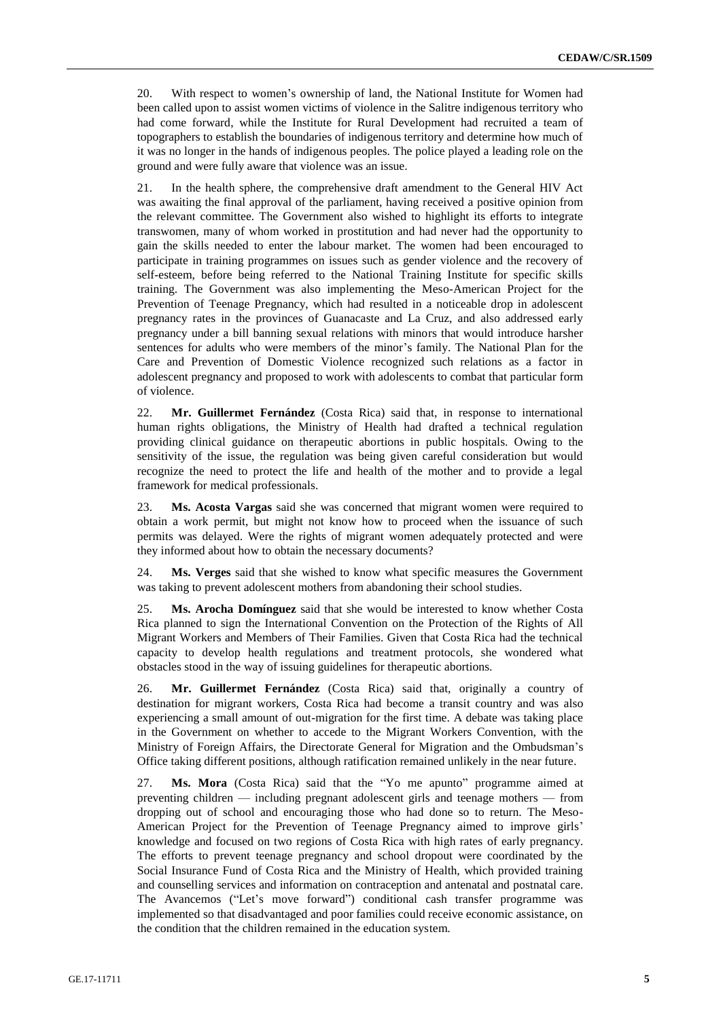20. With respect to women's ownership of land, the National Institute for Women had been called upon to assist women victims of violence in the Salitre indigenous territory who had come forward, while the Institute for Rural Development had recruited a team of topographers to establish the boundaries of indigenous territory and determine how much of it was no longer in the hands of indigenous peoples. The police played a leading role on the ground and were fully aware that violence was an issue.

21. In the health sphere, the comprehensive draft amendment to the General HIV Act was awaiting the final approval of the parliament, having received a positive opinion from the relevant committee. The Government also wished to highlight its efforts to integrate transwomen, many of whom worked in prostitution and had never had the opportunity to gain the skills needed to enter the labour market. The women had been encouraged to participate in training programmes on issues such as gender violence and the recovery of self-esteem, before being referred to the National Training Institute for specific skills training. The Government was also implementing the Meso-American Project for the Prevention of Teenage Pregnancy, which had resulted in a noticeable drop in adolescent pregnancy rates in the provinces of Guanacaste and La Cruz, and also addressed early pregnancy under a bill banning sexual relations with minors that would introduce harsher sentences for adults who were members of the minor's family. The National Plan for the Care and Prevention of Domestic Violence recognized such relations as a factor in adolescent pregnancy and proposed to work with adolescents to combat that particular form of violence.

22. **Mr. Guillermet Fernández** (Costa Rica) said that, in response to international human rights obligations, the Ministry of Health had drafted a technical regulation providing clinical guidance on therapeutic abortions in public hospitals. Owing to the sensitivity of the issue, the regulation was being given careful consideration but would recognize the need to protect the life and health of the mother and to provide a legal framework for medical professionals.

23. **Ms. Acosta Vargas** said she was concerned that migrant women were required to obtain a work permit, but might not know how to proceed when the issuance of such permits was delayed. Were the rights of migrant women adequately protected and were they informed about how to obtain the necessary documents?

24. **Ms. Verges** said that she wished to know what specific measures the Government was taking to prevent adolescent mothers from abandoning their school studies.

25. **Ms. Arocha Domínguez** said that she would be interested to know whether Costa Rica planned to sign the International Convention on the Protection of the Rights of All Migrant Workers and Members of Their Families. Given that Costa Rica had the technical capacity to develop health regulations and treatment protocols, she wondered what obstacles stood in the way of issuing guidelines for therapeutic abortions.

26. **Mr. Guillermet Fernández** (Costa Rica) said that, originally a country of destination for migrant workers, Costa Rica had become a transit country and was also experiencing a small amount of out-migration for the first time. A debate was taking place in the Government on whether to accede to the Migrant Workers Convention, with the Ministry of Foreign Affairs, the Directorate General for Migration and the Ombudsman's Office taking different positions, although ratification remained unlikely in the near future.

27. **Ms. Mora** (Costa Rica) said that the "Yo me apunto" programme aimed at preventing children — including pregnant adolescent girls and teenage mothers — from dropping out of school and encouraging those who had done so to return. The Meso-American Project for the Prevention of Teenage Pregnancy aimed to improve girls' knowledge and focused on two regions of Costa Rica with high rates of early pregnancy. The efforts to prevent teenage pregnancy and school dropout were coordinated by the Social Insurance Fund of Costa Rica and the Ministry of Health, which provided training and counselling services and information on contraception and antenatal and postnatal care. The Avancemos ("Let's move forward") conditional cash transfer programme was implemented so that disadvantaged and poor families could receive economic assistance, on the condition that the children remained in the education system.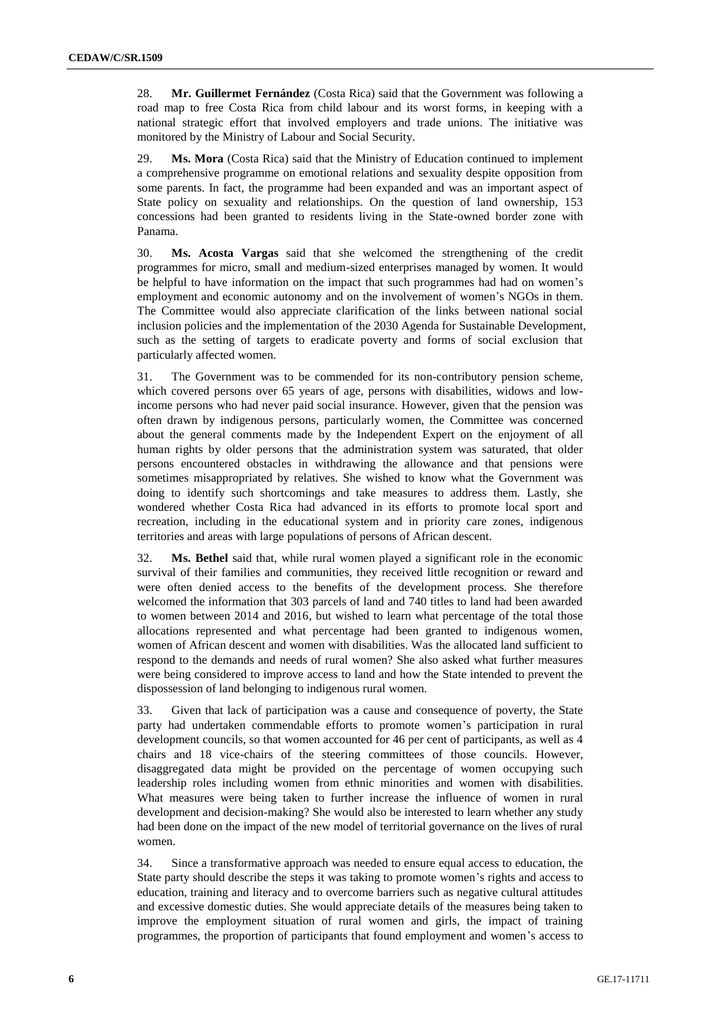28. **Mr. Guillermet Fernández** (Costa Rica) said that the Government was following a road map to free Costa Rica from child labour and its worst forms, in keeping with a national strategic effort that involved employers and trade unions. The initiative was monitored by the Ministry of Labour and Social Security.

29. **Ms. Mora** (Costa Rica) said that the Ministry of Education continued to implement a comprehensive programme on emotional relations and sexuality despite opposition from some parents. In fact, the programme had been expanded and was an important aspect of State policy on sexuality and relationships. On the question of land ownership, 153 concessions had been granted to residents living in the State-owned border zone with Panama.

30. **Ms. Acosta Vargas** said that she welcomed the strengthening of the credit programmes for micro, small and medium-sized enterprises managed by women. It would be helpful to have information on the impact that such programmes had had on women's employment and economic autonomy and on the involvement of women's NGOs in them. The Committee would also appreciate clarification of the links between national social inclusion policies and the implementation of the 2030 Agenda for Sustainable Development, such as the setting of targets to eradicate poverty and forms of social exclusion that particularly affected women.

31. The Government was to be commended for its non-contributory pension scheme, which covered persons over 65 years of age, persons with disabilities, widows and lowincome persons who had never paid social insurance. However, given that the pension was often drawn by indigenous persons, particularly women, the Committee was concerned about the general comments made by the Independent Expert on the enjoyment of all human rights by older persons that the administration system was saturated, that older persons encountered obstacles in withdrawing the allowance and that pensions were sometimes misappropriated by relatives. She wished to know what the Government was doing to identify such shortcomings and take measures to address them. Lastly, she wondered whether Costa Rica had advanced in its efforts to promote local sport and recreation, including in the educational system and in priority care zones, indigenous territories and areas with large populations of persons of African descent.

32. **Ms. Bethel** said that, while rural women played a significant role in the economic survival of their families and communities, they received little recognition or reward and were often denied access to the benefits of the development process. She therefore welcomed the information that 303 parcels of land and 740 titles to land had been awarded to women between 2014 and 2016, but wished to learn what percentage of the total those allocations represented and what percentage had been granted to indigenous women, women of African descent and women with disabilities. Was the allocated land sufficient to respond to the demands and needs of rural women? She also asked what further measures were being considered to improve access to land and how the State intended to prevent the dispossession of land belonging to indigenous rural women.

33. Given that lack of participation was a cause and consequence of poverty, the State party had undertaken commendable efforts to promote women's participation in rural development councils, so that women accounted for 46 per cent of participants, as well as 4 chairs and 18 vice-chairs of the steering committees of those councils. However, disaggregated data might be provided on the percentage of women occupying such leadership roles including women from ethnic minorities and women with disabilities. What measures were being taken to further increase the influence of women in rural development and decision-making? She would also be interested to learn whether any study had been done on the impact of the new model of territorial governance on the lives of rural women.

34. Since a transformative approach was needed to ensure equal access to education, the State party should describe the steps it was taking to promote women's rights and access to education, training and literacy and to overcome barriers such as negative cultural attitudes and excessive domestic duties. She would appreciate details of the measures being taken to improve the employment situation of rural women and girls, the impact of training programmes, the proportion of participants that found employment and women's access to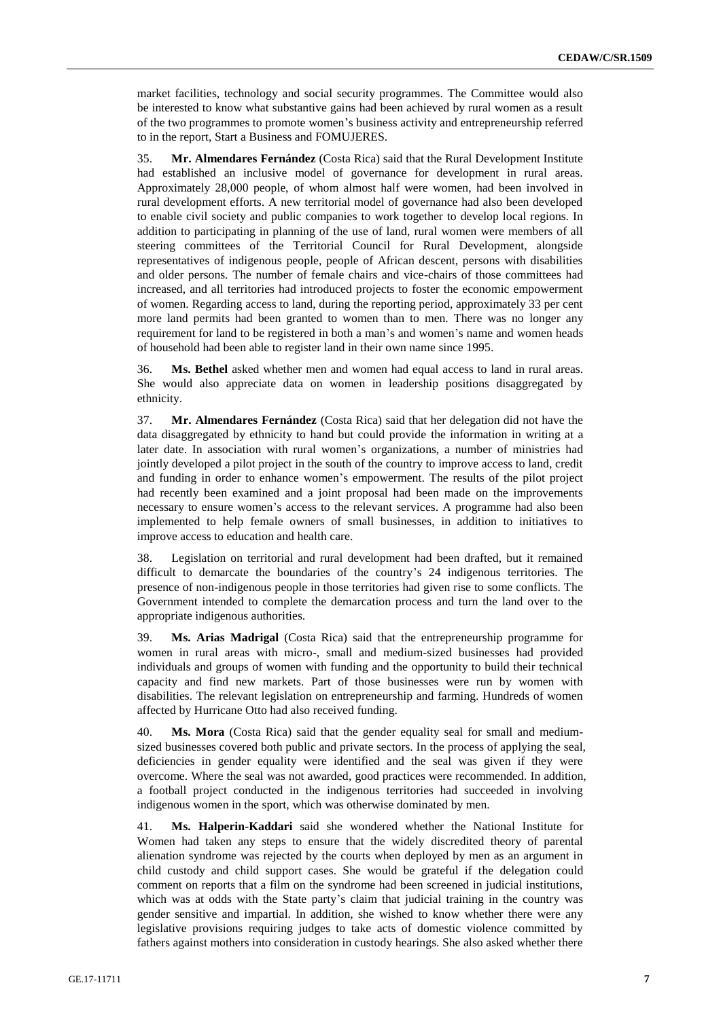market facilities, technology and social security programmes. The Committee would also be interested to know what substantive gains had been achieved by rural women as a result of the two programmes to promote women's business activity and entrepreneurship referred to in the report, Start a Business and FOMUJERES.

35. **Mr. Almendares Fernández** (Costa Rica) said that the Rural Development Institute had established an inclusive model of governance for development in rural areas. Approximately 28,000 people, of whom almost half were women, had been involved in rural development efforts. A new territorial model of governance had also been developed to enable civil society and public companies to work together to develop local regions. In addition to participating in planning of the use of land, rural women were members of all steering committees of the Territorial Council for Rural Development, alongside representatives of indigenous people, people of African descent, persons with disabilities and older persons. The number of female chairs and vice-chairs of those committees had increased, and all territories had introduced projects to foster the economic empowerment of women. Regarding access to land, during the reporting period, approximately 33 per cent more land permits had been granted to women than to men. There was no longer any requirement for land to be registered in both a man's and women's name and women heads of household had been able to register land in their own name since 1995.

36. **Ms. Bethel** asked whether men and women had equal access to land in rural areas. She would also appreciate data on women in leadership positions disaggregated by ethnicity.

37. **Mr. Almendares Fernández** (Costa Rica) said that her delegation did not have the data disaggregated by ethnicity to hand but could provide the information in writing at a later date. In association with rural women's organizations, a number of ministries had jointly developed a pilot project in the south of the country to improve access to land, credit and funding in order to enhance women's empowerment. The results of the pilot project had recently been examined and a joint proposal had been made on the improvements necessary to ensure women's access to the relevant services. A programme had also been implemented to help female owners of small businesses, in addition to initiatives to improve access to education and health care.

38. Legislation on territorial and rural development had been drafted, but it remained difficult to demarcate the boundaries of the country's 24 indigenous territories. The presence of non-indigenous people in those territories had given rise to some conflicts. The Government intended to complete the demarcation process and turn the land over to the appropriate indigenous authorities.

39. **Ms. Arias Madrigal** (Costa Rica) said that the entrepreneurship programme for women in rural areas with micro-, small and medium-sized businesses had provided individuals and groups of women with funding and the opportunity to build their technical capacity and find new markets. Part of those businesses were run by women with disabilities. The relevant legislation on entrepreneurship and farming. Hundreds of women affected by Hurricane Otto had also received funding.

40. **Ms. Mora** (Costa Rica) said that the gender equality seal for small and mediumsized businesses covered both public and private sectors. In the process of applying the seal, deficiencies in gender equality were identified and the seal was given if they were overcome. Where the seal was not awarded, good practices were recommended. In addition, a football project conducted in the indigenous territories had succeeded in involving indigenous women in the sport, which was otherwise dominated by men.

41. **Ms. Halperin-Kaddari** said she wondered whether the National Institute for Women had taken any steps to ensure that the widely discredited theory of parental alienation syndrome was rejected by the courts when deployed by men as an argument in child custody and child support cases. She would be grateful if the delegation could comment on reports that a film on the syndrome had been screened in judicial institutions, which was at odds with the State party's claim that judicial training in the country was gender sensitive and impartial. In addition, she wished to know whether there were any legislative provisions requiring judges to take acts of domestic violence committed by fathers against mothers into consideration in custody hearings. She also asked whether there